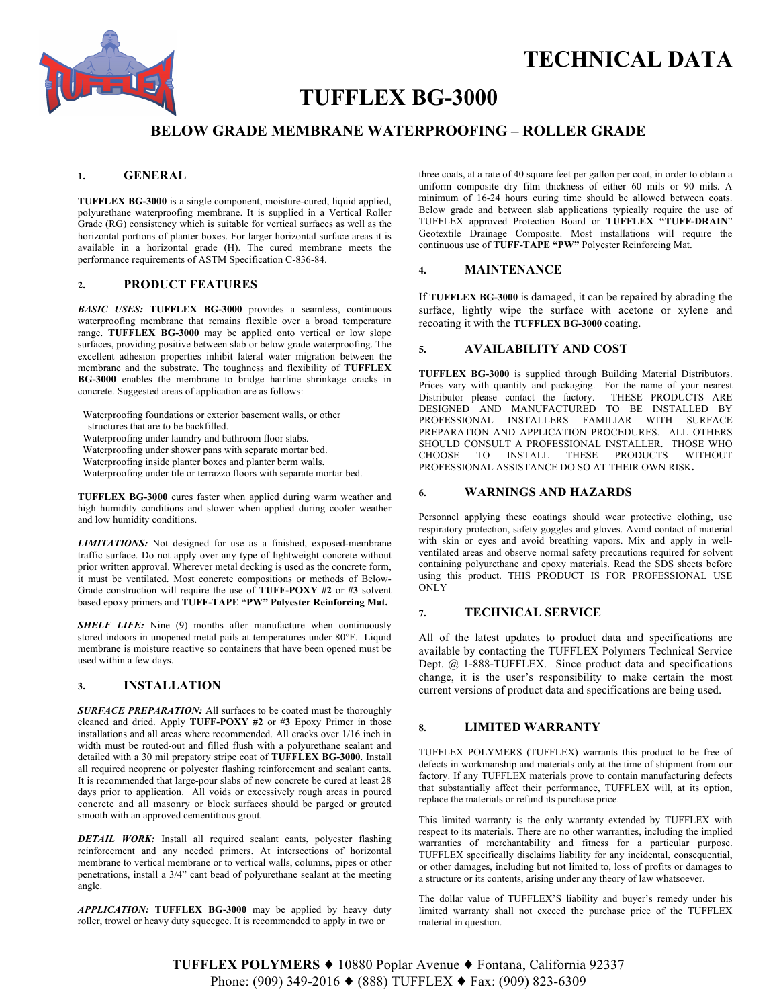

# **TECHNICAL DATA**

## **TUFFLEX BG-3000**

## **BELOW GRADE MEMBRANE WATERPROOFING – ROLLER GRADE**

#### **1. GENERAL**

**TUFFLEX BG-3000** is a single component, moisture-cured, liquid applied, polyurethane waterproofing membrane. It is supplied in a Vertical Roller Grade (RG) consistency which is suitable for vertical surfaces as well as the horizontal portions of planter boxes. For larger horizontal surface areas it is available in a horizontal grade (H). The cured membrane meets the performance requirements of ASTM Specification C-836-84.

### **2. PRODUCT FEATURES**

*BASIC USES:* **TUFFLEX BG-3000** provides a seamless, continuous waterproofing membrane that remains flexible over a broad temperature range. **TUFFLEX BG-3000** may be applied onto vertical or low slope surfaces, providing positive between slab or below grade waterproofing. The excellent adhesion properties inhibit lateral water migration between the membrane and the substrate. The toughness and flexibility of **TUFFLEX BG-3000** enables the membrane to bridge hairline shrinkage cracks in concrete. Suggested areas of application are as follows:

Waterproofing foundations or exterior basement walls, or other structures that are to be backfilled.

Waterproofing under laundry and bathroom floor slabs.

Waterproofing under shower pans with separate mortar bed.

Waterproofing inside planter boxes and planter berm walls.

Waterproofing under tile or terrazzo floors with separate mortar bed.

**TUFFLEX BG-3000** cures faster when applied during warm weather and high humidity conditions and slower when applied during cooler weather and low humidity conditions.

*LIMITATIONS:* Not designed for use as a finished, exposed-membrane traffic surface. Do not apply over any type of lightweight concrete without prior written approval. Wherever metal decking is used as the concrete form, it must be ventilated. Most concrete compositions or methods of Below-Grade construction will require the use of **TUFF-POXY #2** or **#3** solvent based epoxy primers and **TUFF-TAPE "PW" Polyester Reinforcing Mat.**

**SHELF LIFE:** Nine (9) months after manufacture when continuously stored indoors in unopened metal pails at temperatures under 80°F. Liquid membrane is moisture reactive so containers that have been opened must be used within a few days.

#### **3. INSTALLATION**

**SURFACE PREPARATION:** All surfaces to be coated must be thoroughly cleaned and dried. Apply **TUFF-POXY #2** or #**3** Epoxy Primer in those installations and all areas where recommended. All cracks over 1/16 inch in width must be routed-out and filled flush with a polyurethane sealant and detailed with a 30 mil prepatory stripe coat of **TUFFLEX BG-3000**. Install all required neoprene or polyester flashing reinforcement and sealant cants. It is recommended that large-pour slabs of new concrete be cured at least 28 days prior to application. All voids or excessively rough areas in poured concrete and all masonry or block surfaces should be parged or grouted smooth with an approved cementitious grout.

*DETAIL WORK:* Install all required sealant cants, polyester flashing reinforcement and any needed primers. At intersections of horizontal membrane to vertical membrane or to vertical walls, columns, pipes or other penetrations, install a 3/4" cant bead of polyurethane sealant at the meeting angle.

*APPLICATION:* **TUFFLEX BG-3000** may be applied by heavy duty roller, trowel or heavy duty squeegee. It is recommended to apply in two or

three coats, at a rate of 40 square feet per gallon per coat, in order to obtain a uniform composite dry film thickness of either 60 mils or 90 mils. A minimum of 16-24 hours curing time should be allowed between coats. Below grade and between slab applications typically require the use of TUFFLEX approved Protection Board or **TUFFLEX "TUFF-DRAIN**" Geotextile Drainage Composite. Most installations will require the continuous use of **TUFF-TAPE "PW"** Polyester Reinforcing Mat.

#### **4. MAINTENANCE**

If **TUFFLEX BG-3000** is damaged, it can be repaired by abrading the surface, lightly wipe the surface with acetone or xylene and recoating it with the **TUFFLEX BG-3000** coating.

#### **5. AVAILABILITY AND COST**

**TUFFLEX BG-3000** is supplied through Building Material Distributors. Prices vary with quantity and packaging. For the name of your nearest<br>Distributor please contact the factory. THESE PRODUCTS ARE Distributor please contact the factory. DESIGNED AND MANUFACTURED TO BE INSTALLED BY PROFESSIONAL INSTALLERS FAMILIAR WITH SURFACE PREPARATION AND APPLICATION PROCEDURES. ALL OTHERS SHOULD CONSULT A PROFESSIONAL INSTALLER. THOSE WHO CHOOSE TO INSTALL THESE PRODUCTS WITHOUT PROFESSIONAL ASSISTANCE DO SO AT THEIR OWN RISK**.**

### **6. WARNINGS AND HAZARDS**

Personnel applying these coatings should wear protective clothing, use respiratory protection, safety goggles and gloves. Avoid contact of material with skin or eyes and avoid breathing vapors. Mix and apply in wellventilated areas and observe normal safety precautions required for solvent containing polyurethane and epoxy materials. Read the SDS sheets before using this product. THIS PRODUCT IS FOR PROFESSIONAL USE ONLY

#### **7. TECHNICAL SERVICE**

All of the latest updates to product data and specifications are available by contacting the TUFFLEX Polymers Technical Service Dept. @ 1-888-TUFFLEX. Since product data and specifications change, it is the user's responsibility to make certain the most current versions of product data and specifications are being used.

#### **8. LIMITED WARRANTY**

TUFFLEX POLYMERS (TUFFLEX) warrants this product to be free of defects in workmanship and materials only at the time of shipment from our factory. If any TUFFLEX materials prove to contain manufacturing defects that substantially affect their performance, TUFFLEX will, at its option, replace the materials or refund its purchase price.

This limited warranty is the only warranty extended by TUFFLEX with respect to its materials. There are no other warranties, including the implied warranties of merchantability and fitness for a particular purpose. TUFFLEX specifically disclaims liability for any incidental, consequential, or other damages, including but not limited to, loss of profits or damages to a structure or its contents, arising under any theory of law whatsoever.

The dollar value of TUFFLEX'S liability and buyer's remedy under his limited warranty shall not exceed the purchase price of the TUFFLEX material in question.